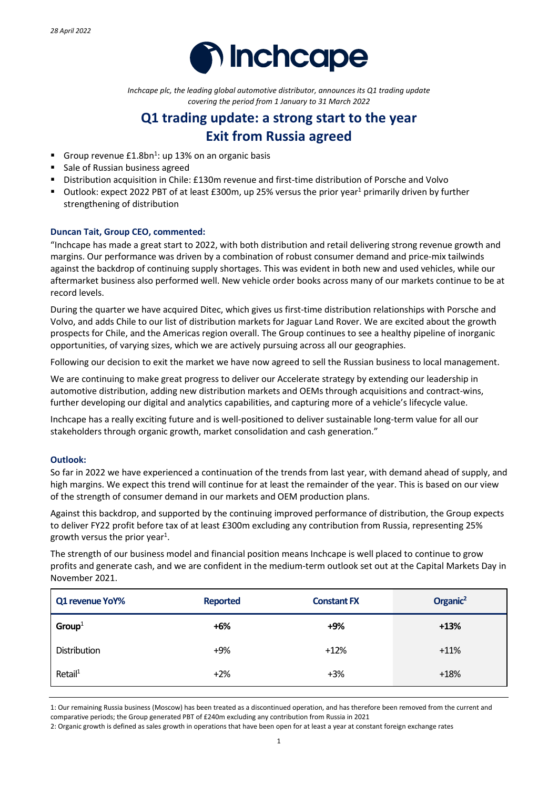

*Inchcape plc, the leading global automotive distributor, announces its Q1 trading update covering the period from 1 January to 31 March 2022*

# **Q1 trading update: a strong start to the year Exit from Russia agreed**

- Group revenue  $£1.8bn<sup>1</sup>$ : up 13% on an organic basis
- Sale of Russian business agreed
- Distribution acquisition in Chile: £130m revenue and first-time distribution of Porsche and Volvo
- Outlook: expect 2022 PBT of at least £300m, up 25% versus the prior year<sup>1</sup> primarily driven by further strengthening of distribution

# **Duncan Tait, Group CEO, commented:**

"Inchcape has made a great start to 2022, with both distribution and retail delivering strong revenue growth and margins. Our performance was driven by a combination of robust consumer demand and price-mix tailwinds against the backdrop of continuing supply shortages. This was evident in both new and used vehicles, while our aftermarket business also performed well. New vehicle order books across many of our markets continue to be at record levels.

During the quarter we have acquired Ditec, which gives us first-time distribution relationships with Porsche and Volvo, and adds Chile to our list of distribution markets for Jaguar Land Rover. We are excited about the growth prospects for Chile, and the Americas region overall. The Group continues to see a healthy pipeline of inorganic opportunities, of varying sizes, which we are actively pursuing across all our geographies.

Following our decision to exit the market we have now agreed to sell the Russian business to local management.

We are continuing to make great progress to deliver our Accelerate strategy by extending our leadership in automotive distribution, adding new distribution markets and OEMs through acquisitions and contract-wins, further developing our digital and analytics capabilities, and capturing more of a vehicle's lifecycle value.

Inchcape has a really exciting future and is well-positioned to deliver sustainable long-term value for all our stakeholders through organic growth, market consolidation and cash generation."

# **Outlook:**

So far in 2022 we have experienced a continuation of the trends from last year, with demand ahead of supply, and high margins. We expect this trend will continue for at least the remainder of the year. This is based on our view of the strength of consumer demand in our markets and OEM production plans.

Against this backdrop, and supported by the continuing improved performance of distribution, the Group expects to deliver FY22 profit before tax of at least £300m excluding any contribution from Russia, representing 25% growth versus the prior year<sup>1</sup>.

The strength of our business model and financial position means Inchcape is well placed to continue to grow profits and generate cash, and we are confident in the medium-term outlook set out at the Capital Markets Day in November 2021.

| Q1 revenue YoY%     | <b>Reported</b> | <b>Constant FX</b> | Organic <sup>2</sup> |
|---------------------|-----------------|--------------------|----------------------|
| Group <sup>1</sup>  | $+6%$           | $+9%$              | $+13%$               |
| Distribution        | $+9%$           | $+12%$             | $+11%$               |
| Retail <sup>1</sup> | $+2%$           | $+3%$              | $+18%$               |

1: Our remaining Russia business (Moscow) has been treated as a discontinued operation, and has therefore been removed from the current and comparative periods; the Group generated PBT of £240m excluding any contribution from Russia in 2021

2: Organic growth is defined as sales growth in operations that have been open for at least a year at constant foreign exchange rates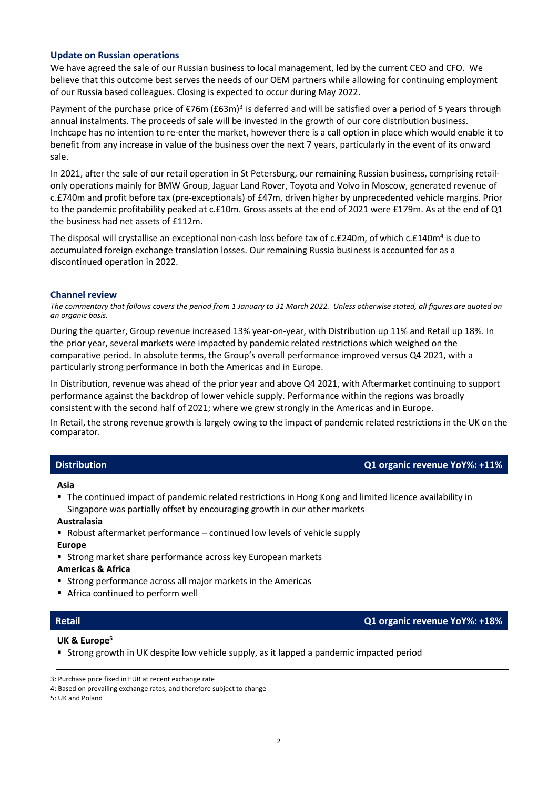# **Update on Russian operations**

We have agreed the sale of our Russian business to local management, led by the current CEO and CFO. We believe that this outcome best serves the needs of our OEM partners while allowing for continuing employment of our Russia based colleagues. Closing is expected to occur during May 2022.

Payment of the purchase price of  $\epsilon$ 76m (£63m)<sup>3</sup> is deferred and will be satisfied over a period of 5 years through annual instalments. The proceeds of sale will be invested in the growth of our core distribution business. Inchcape has no intention to re-enter the market, however there is a call option in place which would enable it to benefit from any increase in value of the business over the next 7 years, particularly in the event of its onward sale.

In 2021, after the sale of our retail operation in St Petersburg, our remaining Russian business, comprising retailonly operations mainly for BMW Group, Jaguar Land Rover, Toyota and Volvo in Moscow, generated revenue of c.£740m and profit before tax (pre-exceptionals) of £47m, driven higher by unprecedented vehicle margins. Prior to the pandemic profitability peaked at c.£10m. Gross assets at the end of 2021 were £179m. As at the end of Q1 the business had net assets of £112m.

The disposal will crystallise an exceptional non-cash loss before tax of c.£240m, of which c.£140m<sup>4</sup> is due to accumulated foreign exchange translation losses. Our remaining Russia business is accounted for as a discontinued operation in 2022.

### **Channel review**

*The commentary that follows covers the period from 1 January to 31 March 2022. Unless otherwise stated, all figures are quoted on an organic basis.*

During the quarter, Group revenue increased 13% year-on-year, with Distribution up 11% and Retail up 18%. In the prior year, several markets were impacted by pandemic related restrictions which weighed on the comparative period. In absolute terms, the Group's overall performance improved versus Q4 2021, with a particularly strong performance in both the Americas and in Europe.

In Distribution, revenue was ahead of the prior year and above Q4 2021, with Aftermarket continuing to support performance against the backdrop of lower vehicle supply. Performance within the regions was broadly consistent with the second half of 2021; where we grew strongly in the Americas and in Europe.

In Retail, the strong revenue growth is largely owing to the impact of pandemic related restrictions in the UK on the comparator.

| <b>Distribution</b> | Q1 organic revenue YoY%: +11% |
|---------------------|-------------------------------|
|                     |                               |

### **Asia**

 The continued impact of pandemic related restrictions in Hong Kong and limited licence availability in Singapore was partially offset by encouraging growth in our other markets

### **Australasia**

 $\blacksquare$  Robust aftermarket performance – continued low levels of vehicle supply

**Europe**

**Strong market share performance across key European markets** 

### **Americas & Africa**

- **Strong performance across all major markets in the Americas**
- Africa continued to perform well

# **Retail Q1 organic revenue YoY%: +18%**

### **UK & Europe5**

Strong growth in UK despite low vehicle supply, as it lapped a pandemic impacted period

5: UK and Poland

<sup>3:</sup> Purchase price fixed in EUR at recent exchange rate

<sup>4:</sup> Based on prevailing exchange rates, and therefore subject to change